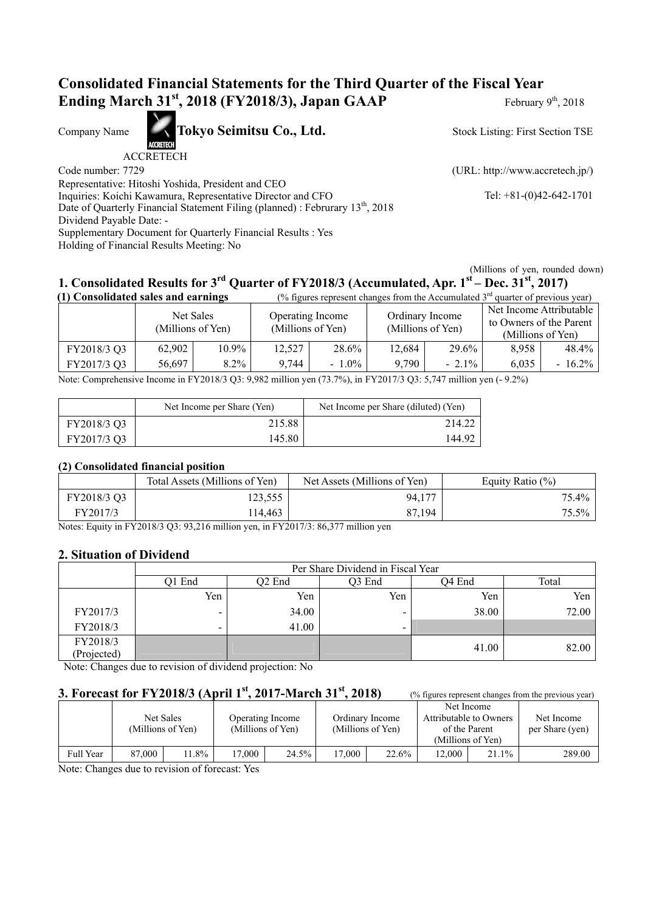## **Consolidated Financial Statements for the Third Quarter of the Fiscal Year Ending March 31<sup>st</sup>, 2018 (FY2018/3), Japan GAAP** February 9<sup>th</sup>, 2018

Company Name **Tokyo Seimitsu Co., Ltd.** 

ACCRETECH

Code number: 7729 (URL: http://www.accretech.jp/)

Stock Listing: First Section TSE

Representative: Hitoshi Yoshida, President and CEO

Inquiries: Koichi Kawamura, Representative Director and CFO Tel: +81-(0)42-642-1701 Date of Quarterly Financial Statement Filing (planned) : Februrary 13<sup>th</sup>, 2018

Dividend Payable Date: -

Supplementary Document for Quarterly Financial Results : Yes

Holding of Financial Results Meeting: No

(Millions of yen, rounded down)

# **1. Consolidated Results for 3rd Quarter of FY2018/3 (Accumulated, Apr. 1st – Dec. 31st, 2017)**

| (1) Consolidated sales and earnings<br>(% figures represent changes from the Accumulated $3rd$ quarter of previous year) |                                |       |                  |                   |        |                                      |                                                                         |           |
|--------------------------------------------------------------------------------------------------------------------------|--------------------------------|-------|------------------|-------------------|--------|--------------------------------------|-------------------------------------------------------------------------|-----------|
|                                                                                                                          | Net Sales<br>(Millions of Yen) |       | Operating Income | (Millions of Yen) |        | Ordinary Income<br>(Millions of Yen) | Net Income Attributable<br>to Owners of the Parent<br>(Millions of Yen) |           |
| FY2018/3 Q3                                                                                                              | 62,902                         | 10.9% | 12,527           | 28.6%             | 12,684 | 29.6%                                | 8,958                                                                   | 48.4%     |
| FY2017/3 Q3                                                                                                              | 56.697                         | 8.2%  | 9.744            | $-1.0\%$          | 9,790  | $-2.1\%$                             | 6.035                                                                   | $-16.2\%$ |

Note: Comprehensive Income in FY2018/3 Q3: 9,982 million yen (73.7%), in FY2017/3 Q3: 5,747 million yen (- 9.2%)

|             | Net Income per Share (Yen) | Net Income per Share (diluted) (Yen) |
|-------------|----------------------------|--------------------------------------|
| FY2018/3 O3 | 215.88                     | 214.22                               |
| FY2017/3 Q3 | 145.80                     | 144.92                               |

#### **(2) Consolidated financial position**

|             | Total Assets (Millions of Yen) | Net Assets (Millions of Yen) | Equity Ratio $(\%)$ |
|-------------|--------------------------------|------------------------------|---------------------|
| FY2018/3 Q3 | 123.555                        | 94,177                       | $75.4\%$            |
| FY2017/3    | 114.463                        | 87,194                       | $75.5\%$            |

Notes: Equity in FY2018/3 Q3: 93,216 million yen, in FY2017/3: 86,377 million yen

### **2. Situation of Dividend**

|                         | Per Share Dividend in Fiscal Year |        |                          |        |       |  |  |  |
|-------------------------|-----------------------------------|--------|--------------------------|--------|-------|--|--|--|
|                         | Q1 End                            | Q2 End | Q3 End                   | Q4 End | Total |  |  |  |
|                         | Yen                               | Yen    | Yen                      | Yen    | Yen   |  |  |  |
| FY2017/3                | $\overline{\phantom{a}}$          | 34.00  | $\overline{\phantom{0}}$ | 38.00  | 72.00 |  |  |  |
| FY2018/3                | -                                 | 41.00  | $\overline{\phantom{a}}$ |        |       |  |  |  |
| FY2018/3<br>(Projected) |                                   |        |                          | 41.00  | 82.00 |  |  |  |

Note: Changes due to revision of dividend projection: No

## **3. Forecast for FY2018/3 (April 1<sup>st</sup>, 2017-March 31<sup>st</sup>, 2018)** (% figures represent changes from the previous year)

|           |        | Net Sales<br>(Millions of Yen) |       | Operating Income<br>(Millions of Yen) |       | Ordinary Income<br>(Millions of Yen) | Attributable to Owners<br>of the Parent<br>(Millions of Yen) | Net Income | Net Income<br>per Share (yen) |
|-----------|--------|--------------------------------|-------|---------------------------------------|-------|--------------------------------------|--------------------------------------------------------------|------------|-------------------------------|
| Full Year | 87,000 | 1.8%                           | 7,000 | 24.5%                                 | .7000 | 22.6%                                | 12.000                                                       | 21.1%      | 289.00                        |

Note: Changes due to revision of forecast: Yes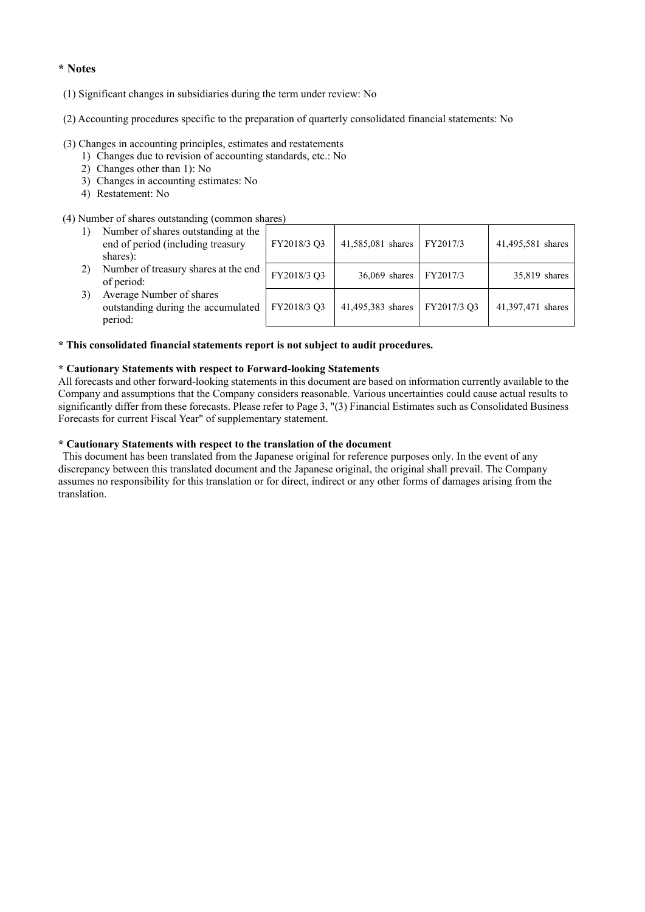#### **\* Notes**

- (1) Significant changes in subsidiaries during the term under review: No
- (2) Accounting procedures specific to the preparation of quarterly consolidated financial statements: No

#### (3) Changes in accounting principles, estimates and restatements

- 1) Changes due to revision of accounting standards, etc.: No
- 2) Changes other than 1): No
- 3) Changes in accounting estimates: No
- 4) Restatement: No

#### (4) Number of shares outstanding (common shares)

| I will be a strong concentrating ( common short co                                   |             |                   |             |                   |
|--------------------------------------------------------------------------------------|-------------|-------------------|-------------|-------------------|
| Number of shares outstanding at the<br>end of period (including treasury<br>shares): | FY2018/3 Q3 | 41,585,081 shares | FY2017/3    | 41,495,581 shares |
| Number of treasury shares at the end<br>of period:                                   | FY2018/3 Q3 | $36,069$ shares   | FY2017/3    | 35,819 shares     |
| Average Number of shares<br>outstanding during the accumulated<br>period:            | FY2018/3 Q3 | 41,495,383 shares | FY2017/3 Q3 | 41,397,471 shares |

#### **\* This consolidated financial statements report is not subject to audit procedures.**

#### **\* Cautionary Statements with respect to Forward-looking Statements**

All forecasts and other forward-looking statements in this document are based on information currently available to the Company and assumptions that the Company considers reasonable. Various uncertainties could cause actual results to significantly differ from these forecasts. Please refer to Page 3, "(3) Financial Estimates such as Consolidated Business Forecasts for current Fiscal Year" of supplementary statement.

#### **\* Cautionary Statements with respect to the translation of the document**

 This document has been translated from the Japanese original for reference purposes only. In the event of any discrepancy between this translated document and the Japanese original, the original shall prevail. The Company assumes no responsibility for this translation or for direct, indirect or any other forms of damages arising from the translation.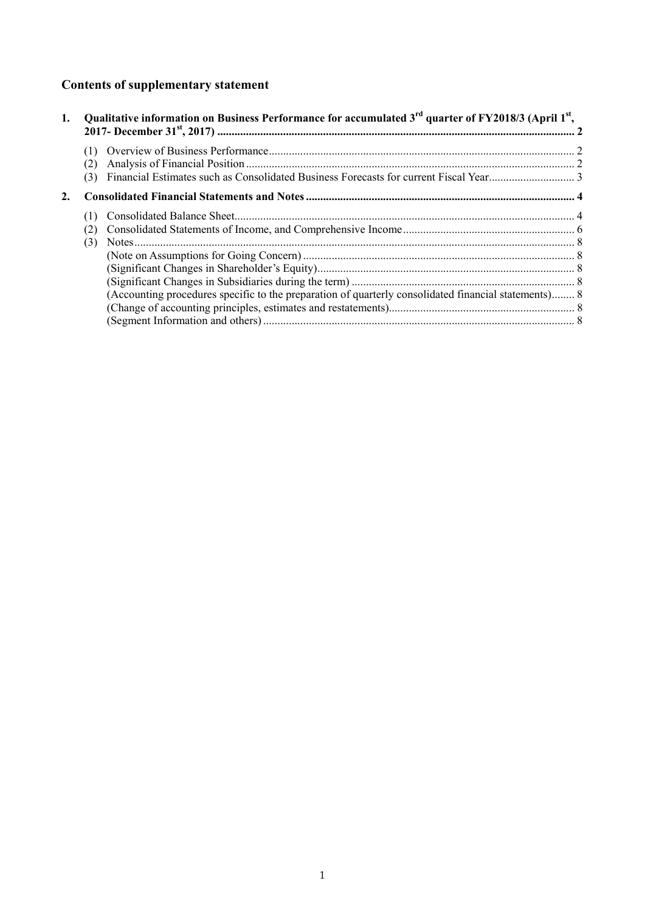# **Contents of supplementary statement**

| 1. |     | Qualitative information on Business Performance for accumulated 3 <sup>rd</sup> quarter of FY2018/3 (April 1 <sup>st</sup> , |  |
|----|-----|------------------------------------------------------------------------------------------------------------------------------|--|
|    |     |                                                                                                                              |  |
|    |     |                                                                                                                              |  |
|    | (3) |                                                                                                                              |  |
| 2. |     |                                                                                                                              |  |
|    |     |                                                                                                                              |  |
|    |     |                                                                                                                              |  |
|    | (3) |                                                                                                                              |  |
|    |     |                                                                                                                              |  |
|    |     |                                                                                                                              |  |
|    |     |                                                                                                                              |  |
|    |     | (Accounting procedures specific to the preparation of quarterly consolidated financial statements) 8                         |  |
|    |     |                                                                                                                              |  |
|    |     |                                                                                                                              |  |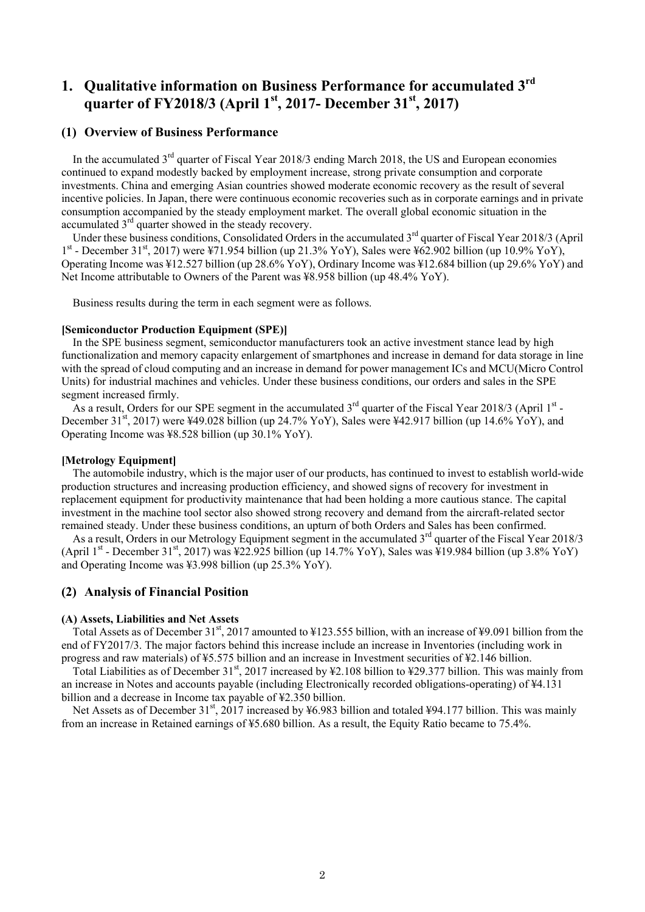## **1. Qualitative information on Business Performance for accumulated 3rd quarter of FY2018/3 (April 1st, 2017- December 31st, 2017)**

#### **(1) Overview of Business Performance**

In the accumulated 3<sup>rd</sup> quarter of Fiscal Year 2018/3 ending March 2018, the US and European economies continued to expand modestly backed by employment increase, strong private consumption and corporate investments. China and emerging Asian countries showed moderate economic recovery as the result of several incentive policies. In Japan, there were continuous economic recoveries such as in corporate earnings and in private consumption accompanied by the steady employment market. The overall global economic situation in the accumulated  $3<sup>rd</sup>$  quarter showed in the steady recovery.

Under these business conditions, Consolidated Orders in the accumulated  $3<sup>rd</sup>$  quarter of Fiscal Year 2018/3 (April  $1^{st}$  - December 31st, 2017) were ¥71.954 billion (up 21.3% YoY), Sales were ¥62.902 billion (up 10.9% YoY), Operating Income was ¥12.527 billion (up 28.6% YoY), Ordinary Income was ¥12.684 billion (up 29.6% YoY) and Net Income attributable to Owners of the Parent was ¥8.958 billion (up 48.4% YoY).

Business results during the term in each segment were as follows.

#### **[Semiconductor Production Equipment (SPE)]**

In the SPE business segment, semiconductor manufacturers took an active investment stance lead by high functionalization and memory capacity enlargement of smartphones and increase in demand for data storage in line with the spread of cloud computing and an increase in demand for power management ICs and MCU(Micro Control Units) for industrial machines and vehicles. Under these business conditions, our orders and sales in the SPE segment increased firmly.

As a result, Orders for our SPE segment in the accumulated  $3^{rd}$  quarter of the Fiscal Year 2018/3 (April 1 $^{st}$  -December 31<sup>st</sup>, 2017) were ¥49.028 billion (up 24.7% YoY), Sales were ¥42.917 billion (up 14.6% YoY), and Operating Income was ¥8.528 billion (up 30.1% YoY).

#### **[Metrology Equipment]**

The automobile industry, which is the major user of our products, has continued to invest to establish world-wide production structures and increasing production efficiency, and showed signs of recovery for investment in replacement equipment for productivity maintenance that had been holding a more cautious stance. The capital investment in the machine tool sector also showed strong recovery and demand from the aircraft-related sector remained steady. Under these business conditions, an upturn of both Orders and Sales has been confirmed.

As a result, Orders in our Metrology Equipment segment in the accumulated 3<sup>rd</sup> quarter of the Fiscal Year 2018/3 (April 1<sup>st</sup> - December 31<sup>st</sup>, 2017) was  $\frac{1}{22.925}$  billion (up 14.7% YoY), Sales was  $\frac{1}{2}19.984$  billion (up 3.8% YoY) and Operating Income was ¥3.998 billion (up 25.3% YoY).

#### **(2) Analysis of Financial Position**

#### **(A) Assets, Liabilities and Net Assets**

Total Assets as of December 31<sup>st</sup>, 2017 amounted to ¥123.555 billion, with an increase of ¥9.091 billion from the end of FY2017/3. The major factors behind this increase include an increase in Inventories (including work in progress and raw materials) of ¥5.575 billion and an increase in Investment securities of ¥2.146 billion.

Total Liabilities as of December 31<sup>st</sup>, 2017 increased by ¥2.108 billion to ¥29.377 billion. This was mainly from an increase in Notes and accounts payable (including Electronically recorded obligations-operating) of ¥4.131 billion and a decrease in Income tax payable of ¥2.350 billion.

Net Assets as of December 31<sup>st</sup>, 2017 increased by ¥6.983 billion and totaled ¥94.177 billion. This was mainly from an increase in Retained earnings of ¥5.680 billion. As a result, the Equity Ratio became to 75.4%.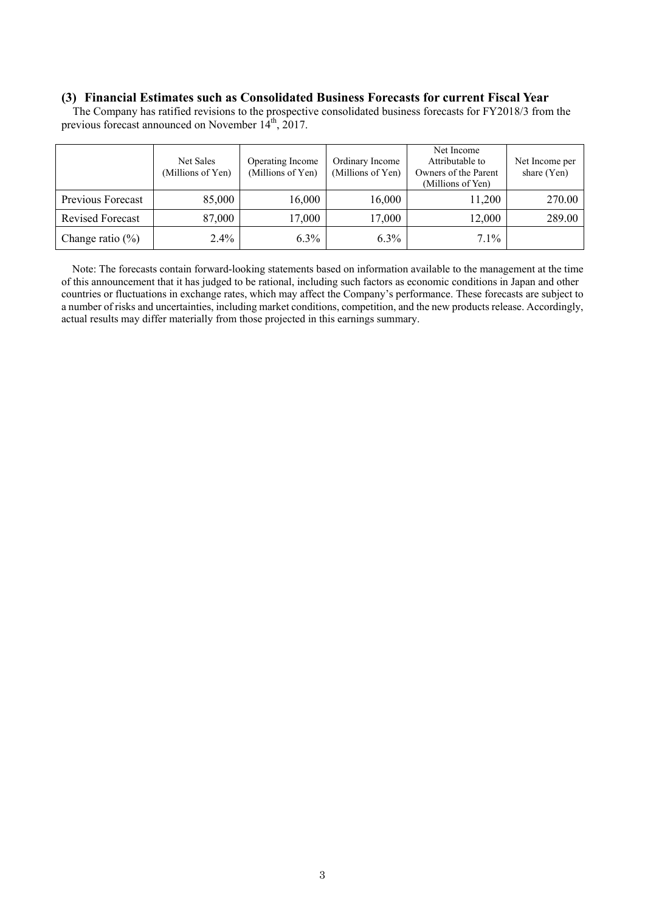#### **(3) Financial Estimates such as Consolidated Business Forecasts for current Fiscal Year**

The Company has ratified revisions to the prospective consolidated business forecasts for FY2018/3 from the previous forecast announced on November 14<sup>th</sup>, 2017.

|                         | Net Sales<br>(Millions of Yen) | Operating Income<br>(Millions of Yen) | Ordinary Income<br>(Millions of Yen) | Net Income<br>Attributable to<br>Owners of the Parent<br>(Millions of Yen) | Net Income per<br>share (Yen) |
|-------------------------|--------------------------------|---------------------------------------|--------------------------------------|----------------------------------------------------------------------------|-------------------------------|
| Previous Forecast       | 85,000                         | 16,000                                | 16,000                               | 11,200                                                                     | 270.00                        |
| <b>Revised Forecast</b> | 87,000                         | 17,000                                | 17,000                               | 12,000                                                                     | 289.00                        |
| Change ratio $(\%)$     | $2.4\%$                        | $6.3\%$                               | $6.3\%$                              | 7.1%                                                                       |                               |

Note: The forecasts contain forward-looking statements based on information available to the management at the time of this announcement that it has judged to be rational, including such factors as economic conditions in Japan and other countries or fluctuations in exchange rates, which may affect the Company's performance. These forecasts are subject to a number of risks and uncertainties, including market conditions, competition, and the new products release. Accordingly, actual results may differ materially from those projected in this earnings summary.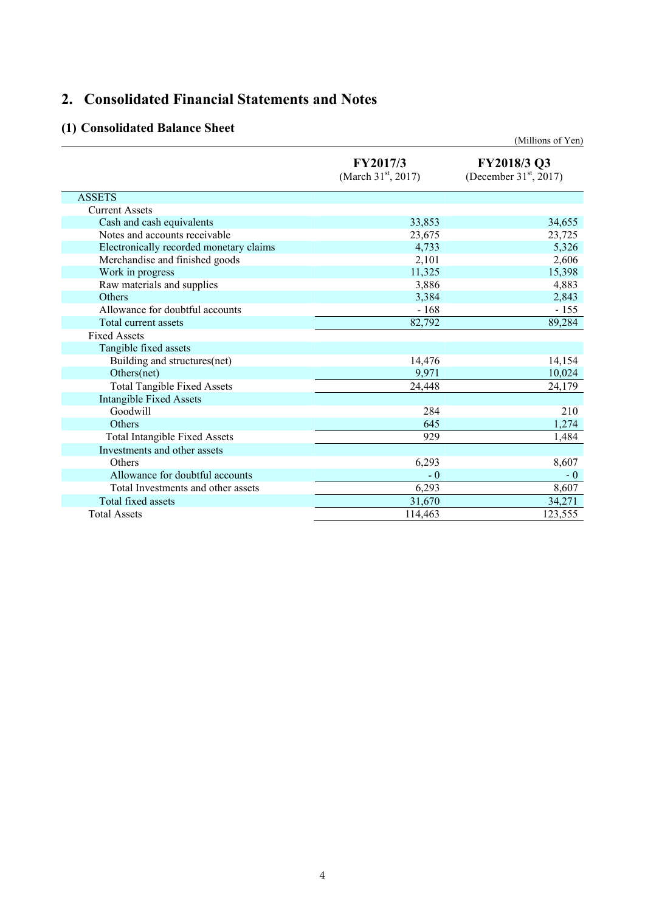## **2. Consolidated Financial Statements and Notes**

## **(1) Consolidated Balance Sheet**

|                                         |                                   | (Millions of Yen)                          |
|-----------------------------------------|-----------------------------------|--------------------------------------------|
|                                         | FY2017/3<br>(March $31st$ , 2017) | FY2018/3 Q3<br>(December $31^{st}$ , 2017) |
| <b>ASSETS</b>                           |                                   |                                            |
| <b>Current Assets</b>                   |                                   |                                            |
| Cash and cash equivalents               | 33,853                            | 34,655                                     |
| Notes and accounts receivable           | 23,675                            | 23,725                                     |
| Electronically recorded monetary claims | 4,733                             | 5,326                                      |
| Merchandise and finished goods          | 2,101                             | 2,606                                      |
| Work in progress                        | 11,325                            | 15,398                                     |
| Raw materials and supplies              | 3,886                             | 4,883                                      |
| <b>Others</b>                           | 3,384                             | 2,843                                      |
| Allowance for doubtful accounts         | - 168                             | $-155$                                     |
| Total current assets                    | 82,792                            | 89,284                                     |
| <b>Fixed Assets</b>                     |                                   |                                            |
| Tangible fixed assets                   |                                   |                                            |
| Building and structures(net)            | 14,476                            | 14,154                                     |
| Others(net)                             | 9,971                             | 10,024                                     |
| <b>Total Tangible Fixed Assets</b>      | 24,448                            | 24,179                                     |
| <b>Intangible Fixed Assets</b>          |                                   |                                            |
| Goodwill                                | 284                               | 210                                        |
| Others                                  | 645                               | 1,274                                      |
| <b>Total Intangible Fixed Assets</b>    | 929                               | 1,484                                      |
| Investments and other assets            |                                   |                                            |
| Others                                  | 6,293                             | 8,607                                      |
| Allowance for doubtful accounts         | $-0$                              | $-0$                                       |
| Total Investments and other assets      | 6,293                             | 8,607                                      |
| Total fixed assets                      | 31,670                            | 34,271                                     |
| <b>Total Assets</b>                     | 114,463                           | 123,555                                    |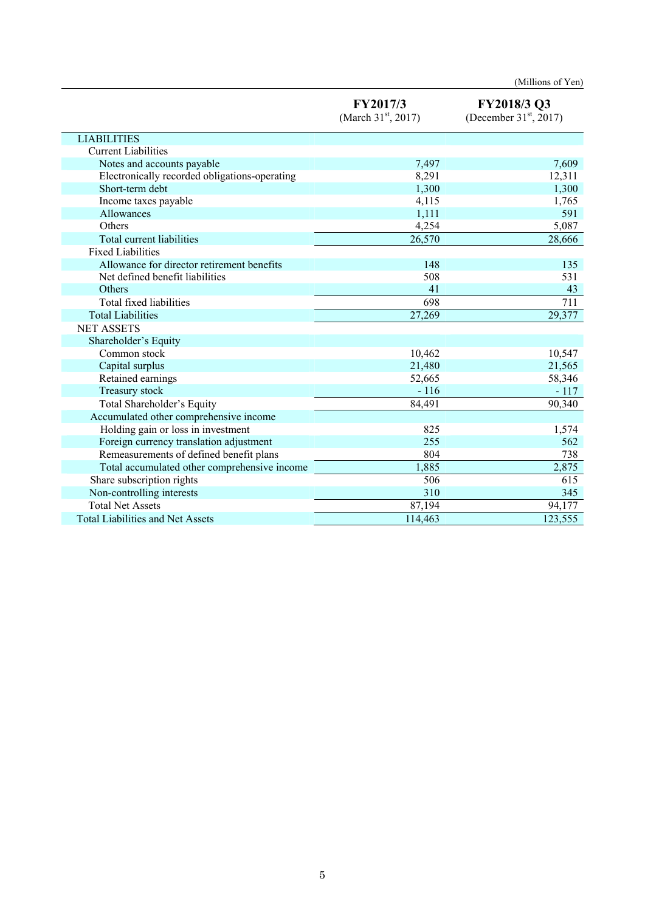|                                               |                                   | (Millions of Yen)                       |
|-----------------------------------------------|-----------------------------------|-----------------------------------------|
|                                               | FY2017/3<br>(March $31st$ , 2017) | FY2018/3 Q3<br>(December $31st$ , 2017) |
| <b>LIABILITIES</b>                            |                                   |                                         |
| <b>Current Liabilities</b>                    |                                   |                                         |
| Notes and accounts payable                    | 7,497                             | 7,609                                   |
| Electronically recorded obligations-operating | 8,291                             | 12,311                                  |
| Short-term debt                               | 1,300                             | 1,300                                   |
| Income taxes payable                          | 4,115                             | 1,765                                   |
| Allowances                                    | 1,111                             | 591                                     |
| Others                                        | 4,254                             | 5,087                                   |
| Total current liabilities                     | 26,570                            | 28,666                                  |
| <b>Fixed Liabilities</b>                      |                                   |                                         |
| Allowance for director retirement benefits    | 148                               | 135                                     |
| Net defined benefit liabilities               | 508                               | 531                                     |
| Others                                        | 41                                | 43                                      |
| Total fixed liabilities                       | 698                               | 711                                     |
| <b>Total Liabilities</b>                      | 27,269                            | 29,377                                  |
| <b>NET ASSETS</b>                             |                                   |                                         |
| Shareholder's Equity                          |                                   |                                         |
| Common stock                                  | 10,462                            | 10,547                                  |
| Capital surplus                               | 21,480                            | 21,565                                  |
| Retained earnings                             | 52,665                            | 58,346                                  |
| Treasury stock                                | $-116$                            | $-117$                                  |
| Total Shareholder's Equity                    | 84,491                            | 90,340                                  |
| Accumulated other comprehensive income        |                                   |                                         |
| Holding gain or loss in investment            | 825                               | 1,574                                   |
| Foreign currency translation adjustment       | 255                               | 562                                     |
| Remeasurements of defined benefit plans       | 804                               | 738                                     |
| Total accumulated other comprehensive income  | 1,885                             | 2,875                                   |
| Share subscription rights                     | 506                               | 615                                     |
| Non-controlling interests                     | 310                               | 345                                     |
| <b>Total Net Assets</b>                       | 87,194                            | 94,177                                  |
| <b>Total Liabilities and Net Assets</b>       | 114,463                           | 123,555                                 |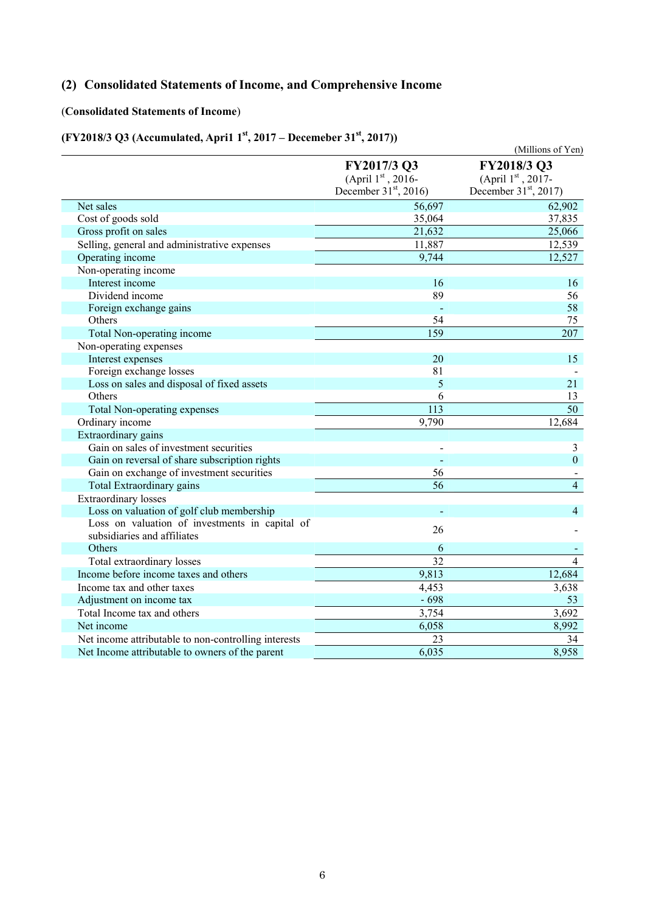## **(2) Consolidated Statements of Income, and Comprehensive Income**

#### (**Consolidated Statements of Income**)

### **(FY2018/3 Q3 (Accumulated, Apri1 1st, 2017 – Decemeber 31st, 2017))**

|                                                                               |                                                             | (Millions of Yen)                                           |
|-------------------------------------------------------------------------------|-------------------------------------------------------------|-------------------------------------------------------------|
|                                                                               | FY2017/3 Q3<br>(April 1st, 2016-<br>December $31st$ , 2016) | FY2018/3 Q3<br>(April 1st, 2017-<br>December $31st$ , 2017) |
|                                                                               |                                                             |                                                             |
| Net sales                                                                     | 56,697                                                      | 62,902                                                      |
| Cost of goods sold                                                            | 35,064                                                      | 37,835                                                      |
| Gross profit on sales                                                         | 21,632                                                      | 25,066                                                      |
| Selling, general and administrative expenses                                  | 11,887                                                      | 12,539                                                      |
| Operating income                                                              | 9,744                                                       | 12,527                                                      |
| Non-operating income                                                          |                                                             |                                                             |
| Interest income                                                               | 16                                                          | 16                                                          |
| Dividend income                                                               | 89                                                          | 56                                                          |
| Foreign exchange gains                                                        |                                                             | 58                                                          |
| Others                                                                        | 54                                                          | 75                                                          |
| Total Non-operating income                                                    | 159                                                         | 207                                                         |
| Non-operating expenses                                                        |                                                             |                                                             |
| Interest expenses                                                             | 20                                                          | 15                                                          |
| Foreign exchange losses                                                       | 81                                                          |                                                             |
| Loss on sales and disposal of fixed assets                                    | 5                                                           | 21                                                          |
| Others                                                                        | 6                                                           | 13                                                          |
| Total Non-operating expenses                                                  | 113                                                         | $\overline{50}$                                             |
| Ordinary income                                                               | 9,790                                                       | 12,684                                                      |
| Extraordinary gains                                                           |                                                             |                                                             |
| Gain on sales of investment securities                                        |                                                             | 3                                                           |
| Gain on reversal of share subscription rights                                 | $\overline{a}$                                              | $\overline{0}$                                              |
| Gain on exchange of investment securities                                     | 56                                                          |                                                             |
| Total Extraordinary gains                                                     | $\overline{56}$                                             | $\overline{4}$                                              |
| <b>Extraordinary</b> losses                                                   |                                                             |                                                             |
| Loss on valuation of golf club membership                                     |                                                             | $\overline{4}$                                              |
| Loss on valuation of investments in capital of<br>subsidiaries and affiliates | 26                                                          |                                                             |
| Others                                                                        | 6                                                           |                                                             |
| Total extraordinary losses                                                    | $\overline{32}$                                             | $\overline{4}$                                              |
| Income before income taxes and others                                         | 9,813                                                       | 12,684                                                      |
| Income tax and other taxes                                                    | 4,453                                                       | 3,638                                                       |
| Adjustment on income tax                                                      | $-698$                                                      | 53                                                          |
| Total Income tax and others                                                   | 3,754                                                       | 3,692                                                       |
| Net income                                                                    | 6,058                                                       | 8,992                                                       |
| Net income attributable to non-controlling interests                          | 23                                                          | 34                                                          |
| Net Income attributable to owners of the parent                               | 6,035                                                       | 8,958                                                       |
|                                                                               |                                                             |                                                             |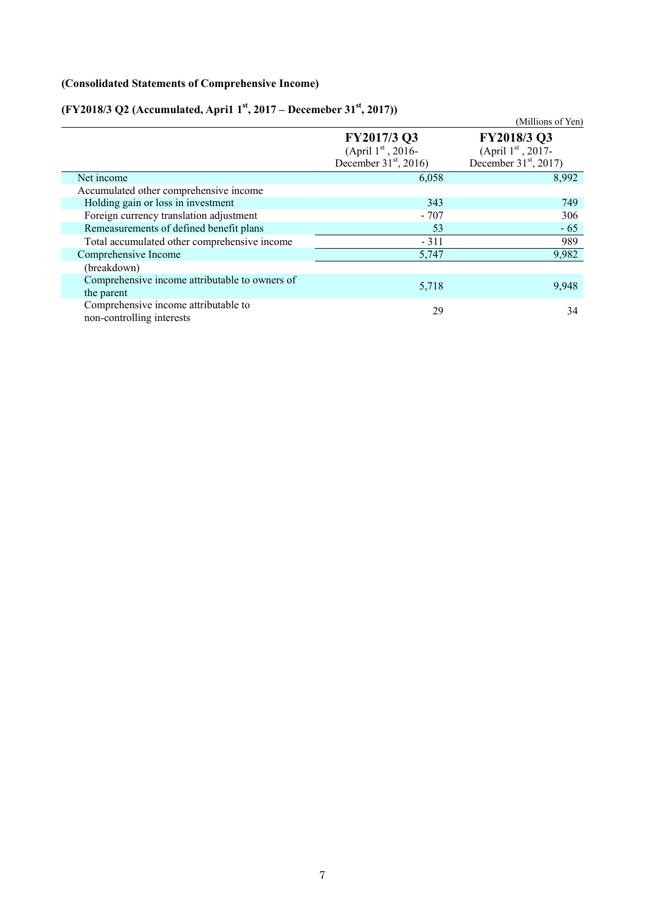### **(Consolidated Statements of Comprehensive Income)**

# **(FY2018/3 Q2 (Accumulated, Apri1 1st, 2017 – Decemeber 31st, 2017))**

|                                                                   |                                                                | (Millions of Yen)                                              |
|-------------------------------------------------------------------|----------------------------------------------------------------|----------------------------------------------------------------|
|                                                                   | FY2017/3 Q3<br>(April $1st$ , 2016-<br>December $31st$ , 2016) | FY2018/3 Q3<br>(April $1st$ , 2017-<br>December $31st$ , 2017) |
| Net income                                                        | 6,058                                                          | 8,992                                                          |
| Accumulated other comprehensive income                            |                                                                |                                                                |
| Holding gain or loss in investment                                | 343                                                            | 749                                                            |
| Foreign currency translation adjustment                           | - 707                                                          | 306                                                            |
| Remeasurements of defined benefit plans                           | 53                                                             | $-65$                                                          |
| Total accumulated other comprehensive income                      | $-311$                                                         | 989                                                            |
| Comprehensive Income                                              | 5,747                                                          | 9,982                                                          |
| (breakdown)                                                       |                                                                |                                                                |
| Comprehensive income attributable to owners of<br>the parent      | 5,718                                                          | 9,948                                                          |
| Comprehensive income attributable to<br>non-controlling interests | 29                                                             | 34                                                             |